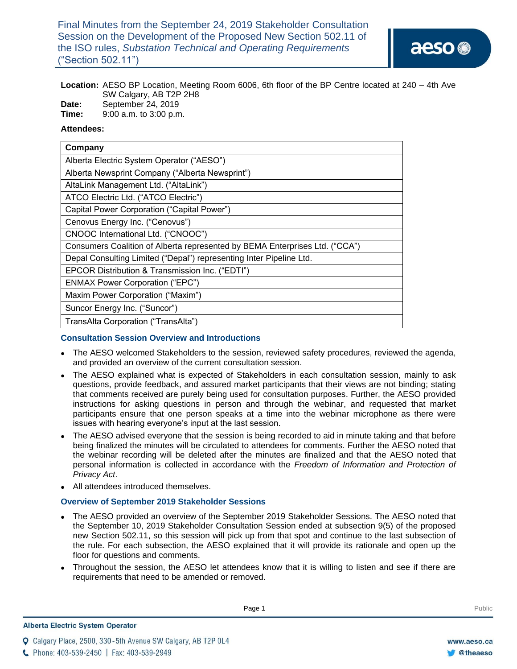Final Minutes from the September 24, 2019 Stakeholder Consultation Session on the Development of the Proposed New Section 502.11 of the ISO rules, *Substation Technical and Operating Requirements*  ("Section 502.11")

**Location:** AESO BP Location, Meeting Room 6006, 6th floor of the BP Centre located at 240 – 4th Ave SW Calgary, AB T2P 2H8

- **Date:** September 24, 2019
- **Time:** 9:00 a.m. to 3:00 p.m.

### **Attendees:**

| Company                                                                     |  |  |  |  |  |
|-----------------------------------------------------------------------------|--|--|--|--|--|
| Alberta Electric System Operator ("AESO")                                   |  |  |  |  |  |
| Alberta Newsprint Company ("Alberta Newsprint")                             |  |  |  |  |  |
| AltaLink Management Ltd. ("AltaLink")                                       |  |  |  |  |  |
| ATCO Electric Ltd. ("ATCO Electric")                                        |  |  |  |  |  |
| Capital Power Corporation ("Capital Power")                                 |  |  |  |  |  |
| Cenovus Energy Inc. ("Cenovus")                                             |  |  |  |  |  |
| CNOOC International Ltd. ("CNOOC")                                          |  |  |  |  |  |
| Consumers Coalition of Alberta represented by BEMA Enterprises Ltd. ("CCA") |  |  |  |  |  |
| Depal Consulting Limited ("Depal") representing Inter Pipeline Ltd.         |  |  |  |  |  |
| EPCOR Distribution & Transmission Inc. ("EDTI")                             |  |  |  |  |  |
| <b>ENMAX Power Corporation ("EPC")</b>                                      |  |  |  |  |  |
| Maxim Power Corporation ("Maxim")                                           |  |  |  |  |  |
| Suncor Energy Inc. ("Suncor")                                               |  |  |  |  |  |
| TransAlta Corporation ("TransAlta")                                         |  |  |  |  |  |

### **Consultation Session Overview and Introductions**

- The AESO welcomed Stakeholders to the session, reviewed safety procedures, reviewed the agenda, and provided an overview of the current consultation session.
- The AESO explained what is expected of Stakeholders in each consultation session, mainly to ask questions, provide feedback, and assured market participants that their views are not binding; stating that comments received are purely being used for consultation purposes. Further, the AESO provided instructions for asking questions in person and through the webinar, and requested that market participants ensure that one person speaks at a time into the webinar microphone as there were issues with hearing everyone's input at the last session.
- The AESO advised everyone that the session is being recorded to aid in minute taking and that before being finalized the minutes will be circulated to attendees for comments. Further the AESO noted that the webinar recording will be deleted after the minutes are finalized and that the AESO noted that personal information is collected in accordance with the *Freedom of Information and Protection of Privacy Act*.
- All attendees introduced themselves.

### **Overview of September 2019 Stakeholder Sessions**

- The AESO provided an overview of the September 2019 Stakeholder Sessions. The AESO noted that the September 10, 2019 Stakeholder Consultation Session ended at subsection 9(5) of the proposed new Section 502.11, so this session will pick up from that spot and continue to the last subsection of the rule. For each subsection, the AESO explained that it will provide its rationale and open up the floor for questions and comments.
- Throughout the session, the AESO let attendees know that it is willing to listen and see if there are requirements that need to be amended or removed.

**Enter Football Page 1** Public Page 1 **Public** Public Public Public Public Public Public Public Public Public Public Public Public Public Public Public Public Public Public Public Public Public Public Public Public Public

Q Calgary Place, 2500, 330-5th Avenue SW Calgary, AB T2P 0L4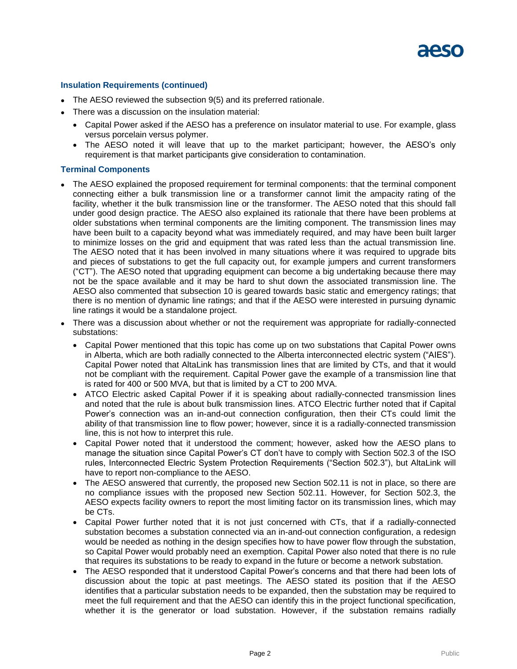#### **Insulation Requirements (continued)**

- The AESO reviewed the subsection 9(5) and its preferred rationale.
- There was a discussion on the insulation material:
	- Capital Power asked if the AESO has a preference on insulator material to use. For example, glass versus porcelain versus polymer.
	- The AESO noted it will leave that up to the market participant; however, the AESO's only requirement is that market participants give consideration to contamination.

#### **Terminal Components**

- The AESO explained the proposed requirement for terminal components: that the terminal component connecting either a bulk transmission line or a transformer cannot limit the ampacity rating of the facility, whether it the bulk transmission line or the transformer. The AESO noted that this should fall under good design practice. The AESO also explained its rationale that there have been problems at older substations when terminal components are the limiting component. The transmission lines may have been built to a capacity beyond what was immediately required, and may have been built larger to minimize losses on the grid and equipment that was rated less than the actual transmission line. The AESO noted that it has been involved in many situations where it was required to upgrade bits and pieces of substations to get the full capacity out, for example jumpers and current transformers ("CT"). The AESO noted that upgrading equipment can become a big undertaking because there may not be the space available and it may be hard to shut down the associated transmission line. The AESO also commented that subsection 10 is geared towards basic static and emergency ratings; that there is no mention of dynamic line ratings; and that if the AESO were interested in pursuing dynamic line ratings it would be a standalone project.
- There was a discussion about whether or not the requirement was appropriate for radially-connected substations:
	- Capital Power mentioned that this topic has come up on two substations that Capital Power owns in Alberta, which are both radially connected to the Alberta interconnected electric system ("AIES"). Capital Power noted that AltaLink has transmission lines that are limited by CTs, and that it would not be compliant with the requirement. Capital Power gave the example of a transmission line that is rated for 400 or 500 MVA, but that is limited by a CT to 200 MVA.
	- ATCO Electric asked Capital Power if it is speaking about radially-connected transmission lines and noted that the rule is about bulk transmission lines. ATCO Electric further noted that if Capital Power's connection was an in-and-out connection configuration, then their CTs could limit the ability of that transmission line to flow power; however, since it is a radially-connected transmission line, this is not how to interpret this rule.
	- Capital Power noted that it understood the comment; however, asked how the AESO plans to manage the situation since Capital Power's CT don't have to comply with Section 502.3 of the ISO rules, Interconnected Electric System Protection Requirements ("Section 502.3"), but AltaLink will have to report non-compliance to the AESO.
	- The AESO answered that currently, the proposed new Section 502.11 is not in place, so there are no compliance issues with the proposed new Section 502.11. However, for Section 502.3, the AESO expects facility owners to report the most limiting factor on its transmission lines, which may be CTs.
	- Capital Power further noted that it is not just concerned with CTs, that if a radially-connected substation becomes a substation connected via an in-and-out connection configuration, a redesign would be needed as nothing in the design specifies how to have power flow through the substation, so Capital Power would probably need an exemption. Capital Power also noted that there is no rule that requires its substations to be ready to expand in the future or become a network substation.
	- The AESO responded that it understood Capital Power's concerns and that there had been lots of discussion about the topic at past meetings. The AESO stated its position that if the AESO identifies that a particular substation needs to be expanded, then the substation may be required to meet the full requirement and that the AESO can identify this in the project functional specification, whether it is the generator or load substation. However, if the substation remains radially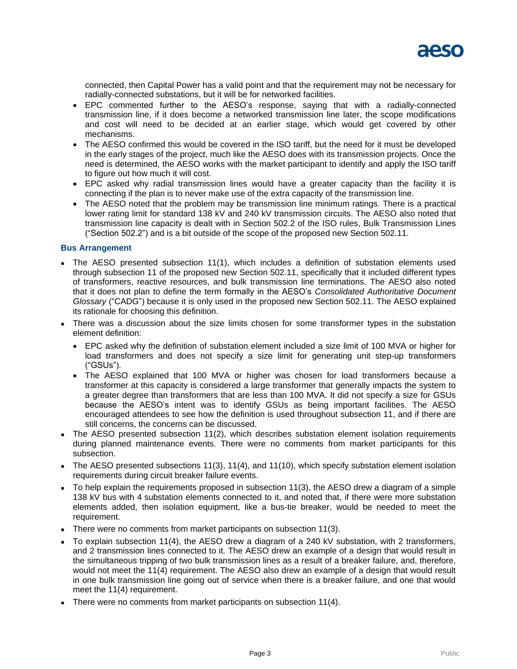connected, then Capital Power has a valid point and that the requirement may not be necessary for radially-connected substations, but it will be for networked facilities.

- EPC commented further to the AESO's response, saying that with a radially-connected transmission line, if it does become a networked transmission line later, the scope modifications and cost will need to be decided at an earlier stage, which would get covered by other mechanisms.
- The AESO confirmed this would be covered in the ISO tariff, but the need for it must be developed in the early stages of the project, much like the AESO does with its transmission projects. Once the need is determined, the AESO works with the market participant to identify and apply the ISO tariff to figure out how much it will cost.
- EPC asked why radial transmission lines would have a greater capacity than the facility it is connecting if the plan is to never make use of the extra capacity of the transmission line.
- The AESO noted that the problem may be transmission line minimum ratings. There is a practical lower rating limit for standard 138 kV and 240 kV transmission circuits. The AESO also noted that transmission line capacity is dealt with in Section 502.2 of the ISO rules, Bulk Transmission Lines ("Section 502.2") and is a bit outside of the scope of the proposed new Section 502.11.

### **Bus Arrangement**

- The AESO presented subsection 11(1), which includes a definition of substation elements used through subsection 11 of the proposed new Section 502.11, specifically that it included different types of transformers, reactive resources, and bulk transmission line terminations. The AESO also noted that it does not plan to define the term formally in the AESO's *Consolidated Authoritative Document Glossary* ("CADG") because it is only used in the proposed new Section 502.11. The AESO explained its rationale for choosing this definition.
- There was a discussion about the size limits chosen for some transformer types in the substation element definition:
	- EPC asked why the definition of substation element included a size limit of 100 MVA or higher for load transformers and does not specify a size limit for generating unit step-up transformers ("GSUs").
	- The AESO explained that 100 MVA or higher was chosen for load transformers because a transformer at this capacity is considered a large transformer that generally impacts the system to a greater degree than transformers that are less than 100 MVA. It did not specify a size for GSUs because the AESO's intent was to identify GSUs as being important facilities. The AESO encouraged attendees to see how the definition is used throughout subsection 11, and if there are still concerns, the concerns can be discussed.
- The AESO presented subsection 11(2), which describes substation element isolation requirements during planned maintenance events. There were no comments from market participants for this subsection.
- The AESO presented subsections 11(3), 11(4), and 11(10), which specify substation element isolation requirements during circuit breaker failure events.
- To help explain the requirements proposed in subsection 11(3), the AESO drew a diagram of a simple 138 kV bus with 4 substation elements connected to it, and noted that, if there were more substation elements added, then isolation equipment, like a bus-tie breaker, would be needed to meet the requirement.
- There were no comments from market participants on subsection 11(3).
- To explain subsection 11(4), the AESO drew a diagram of a 240 kV substation, with 2 transformers, and 2 transmission lines connected to it. The AESO drew an example of a design that would result in the simultaneous tripping of two bulk transmission lines as a result of a breaker failure, and, therefore, would not meet the 11(4) requirement. The AESO also drew an example of a design that would result in one bulk transmission line going out of service when there is a breaker failure, and one that would meet the 11(4) requirement.
- There were no comments from market participants on subsection 11(4).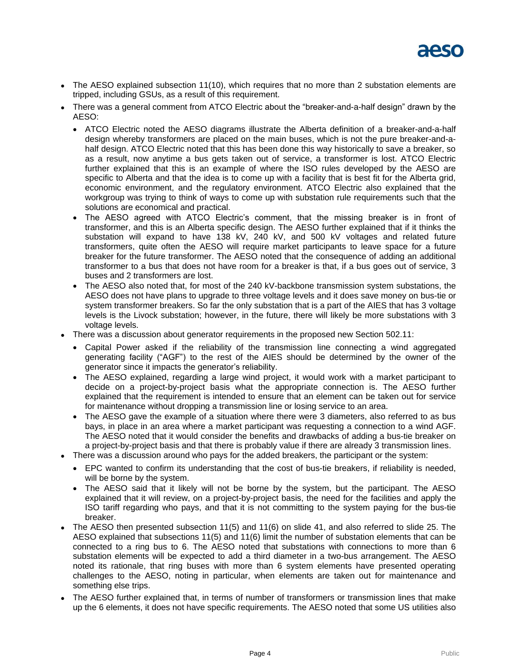

- The AESO explained subsection 11(10), which requires that no more than 2 substation elements are tripped, including GSUs, as a result of this requirement.
- There was a general comment from ATCO Electric about the "breaker-and-a-half design" drawn by the AESO:
	- ATCO Electric noted the AESO diagrams illustrate the Alberta definition of a breaker-and-a-half design whereby transformers are placed on the main buses, which is not the pure breaker-and-ahalf design. ATCO Electric noted that this has been done this way historically to save a breaker, so as a result, now anytime a bus gets taken out of service, a transformer is lost. ATCO Electric further explained that this is an example of where the ISO rules developed by the AESO are specific to Alberta and that the idea is to come up with a facility that is best fit for the Alberta grid, economic environment, and the regulatory environment. ATCO Electric also explained that the workgroup was trying to think of ways to come up with substation rule requirements such that the solutions are economical and practical.
	- The AESO agreed with ATCO Electric's comment, that the missing breaker is in front of transformer, and this is an Alberta specific design. The AESO further explained that if it thinks the substation will expand to have 138 kV, 240 kV, and 500 kV voltages and related future transformers, quite often the AESO will require market participants to leave space for a future breaker for the future transformer. The AESO noted that the consequence of adding an additional transformer to a bus that does not have room for a breaker is that, if a bus goes out of service, 3 buses and 2 transformers are lost.
	- The AESO also noted that, for most of the 240 kV-backbone transmission system substations, the AESO does not have plans to upgrade to three voltage levels and it does save money on bus-tie or system transformer breakers. So far the only substation that is a part of the AIES that has 3 voltage levels is the Livock substation; however, in the future, there will likely be more substations with 3 voltage levels.
- There was a discussion about generator requirements in the proposed new Section 502.11:
	- Capital Power asked if the reliability of the transmission line connecting a wind aggregated generating facility ("AGF") to the rest of the AIES should be determined by the owner of the generator since it impacts the generator's reliability.
	- The AESO explained, regarding a large wind project, it would work with a market participant to decide on a project-by-project basis what the appropriate connection is. The AESO further explained that the requirement is intended to ensure that an element can be taken out for service for maintenance without dropping a transmission line or losing service to an area.
	- The AESO gave the example of a situation where there were 3 diameters, also referred to as bus bays, in place in an area where a market participant was requesting a connection to a wind AGF. The AESO noted that it would consider the benefits and drawbacks of adding a bus-tie breaker on a project-by-project basis and that there is probably value if there are already 3 transmission lines.
- There was a discussion around who pays for the added breakers, the participant or the system:
	- EPC wanted to confirm its understanding that the cost of bus-tie breakers, if reliability is needed, will be borne by the system.
	- The AESO said that it likely will not be borne by the system, but the participant. The AESO explained that it will review, on a project-by-project basis, the need for the facilities and apply the ISO tariff regarding who pays, and that it is not committing to the system paying for the bus-tie breaker.
- The AESO then presented subsection 11(5) and 11(6) on slide 41, and also referred to slide 25. The AESO explained that subsections 11(5) and 11(6) limit the number of substation elements that can be connected to a ring bus to 6. The AESO noted that substations with connections to more than 6 substation elements will be expected to add a third diameter in a two-bus arrangement. The AESO noted its rationale, that ring buses with more than 6 system elements have presented operating challenges to the AESO, noting in particular, when elements are taken out for maintenance and something else trips.
- The AESO further explained that, in terms of number of transformers or transmission lines that make up the 6 elements, it does not have specific requirements. The AESO noted that some US utilities also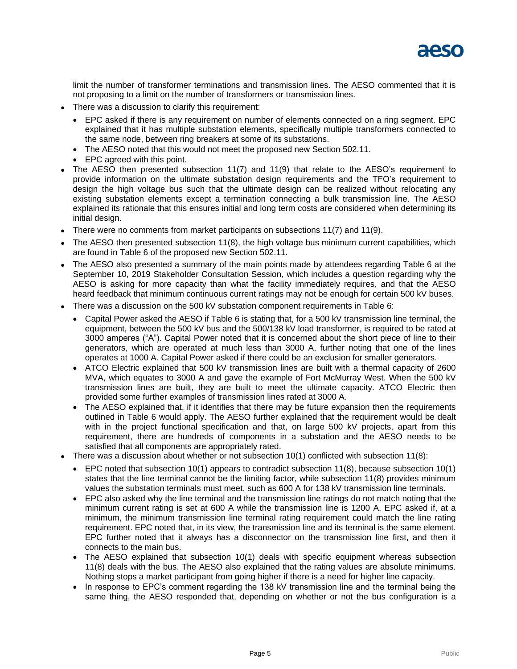

limit the number of transformer terminations and transmission lines. The AESO commented that it is not proposing to a limit on the number of transformers or transmission lines.

- There was a discussion to clarify this requirement:
	- EPC asked if there is any requirement on number of elements connected on a ring segment. EPC explained that it has multiple substation elements, specifically multiple transformers connected to the same node, between ring breakers at some of its substations.
	- The AESO noted that this would not meet the proposed new Section 502.11.
	- EPC agreed with this point.
- The AESO then presented subsection 11(7) and 11(9) that relate to the AESO's requirement to provide information on the ultimate substation design requirements and the TFO's requirement to design the high voltage bus such that the ultimate design can be realized without relocating any existing substation elements except a termination connecting a bulk transmission line. The AESO explained its rationale that this ensures initial and long term costs are considered when determining its initial design.
- There were no comments from market participants on subsections 11(7) and 11(9).
- The AESO then presented subsection 11(8), the high voltage bus minimum current capabilities, which are found in Table 6 of the proposed new Section 502.11.
- The AESO also presented a summary of the main points made by attendees regarding Table 6 at the September 10, 2019 Stakeholder Consultation Session, which includes a question regarding why the AESO is asking for more capacity than what the facility immediately requires, and that the AESO heard feedback that minimum continuous current ratings may not be enough for certain 500 kV buses.
- There was a discussion on the 500 kV substation component requirements in Table 6:
	- Capital Power asked the AESO if Table 6 is stating that, for a 500 kV transmission line terminal, the equipment, between the 500 kV bus and the 500/138 kV load transformer, is required to be rated at 3000 amperes ("A"). Capital Power noted that it is concerned about the short piece of line to their generators, which are operated at much less than 3000 A, further noting that one of the lines operates at 1000 A. Capital Power asked if there could be an exclusion for smaller generators.
	- ATCO Electric explained that 500 kV transmission lines are built with a thermal capacity of 2600 MVA, which equates to 3000 A and gave the example of Fort McMurray West. When the 500 kV transmission lines are built, they are built to meet the ultimate capacity. ATCO Electric then provided some further examples of transmission lines rated at 3000 A.
	- The AESO explained that, if it identifies that there may be future expansion then the requirements outlined in Table 6 would apply. The AESO further explained that the requirement would be dealt with in the project functional specification and that, on large 500 kV projects, apart from this requirement, there are hundreds of components in a substation and the AESO needs to be satisfied that all components are appropriately rated.
- There was a discussion about whether or not subsection 10(1) conflicted with subsection 11(8):
	- EPC noted that subsection 10(1) appears to contradict subsection 11(8), because subsection 10(1) states that the line terminal cannot be the limiting factor, while subsection 11(8) provides minimum values the substation terminals must meet, such as 600 A for 138 kV transmission line terminals.
	- EPC also asked why the line terminal and the transmission line ratings do not match noting that the minimum current rating is set at 600 A while the transmission line is 1200 A. EPC asked if, at a minimum, the minimum transmission line terminal rating requirement could match the line rating requirement. EPC noted that, in its view, the transmission line and its terminal is the same element. EPC further noted that it always has a disconnector on the transmission line first, and then it connects to the main bus.
	- The AESO explained that subsection 10(1) deals with specific equipment whereas subsection 11(8) deals with the bus. The AESO also explained that the rating values are absolute minimums. Nothing stops a market participant from going higher if there is a need for higher line capacity.
	- In response to EPC's comment regarding the 138 kV transmission line and the terminal being the same thing, the AESO responded that, depending on whether or not the bus configuration is a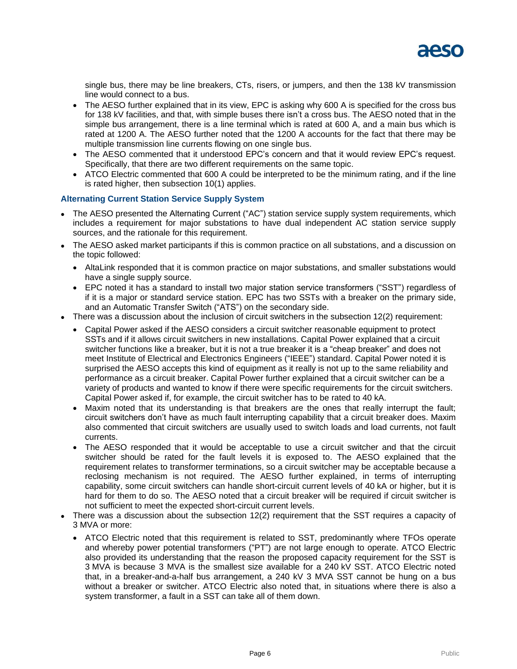

single bus, there may be line breakers, CTs, risers, or jumpers, and then the 138 kV transmission line would connect to a bus.

- The AESO further explained that in its view, EPC is asking why 600 A is specified for the cross bus for 138 kV facilities, and that, with simple buses there isn't a cross bus. The AESO noted that in the simple bus arrangement, there is a line terminal which is rated at 600 A, and a main bus which is rated at 1200 A. The AESO further noted that the 1200 A accounts for the fact that there may be multiple transmission line currents flowing on one single bus.
- The AESO commented that it understood EPC's concern and that it would review EPC's request. Specifically, that there are two different requirements on the same topic.
- ATCO Electric commented that 600 A could be interpreted to be the minimum rating, and if the line is rated higher, then subsection 10(1) applies.

#### **Alternating Current Station Service Supply System**

- The AESO presented the Alternating Current ("AC") station service supply system requirements, which includes a requirement for major substations to have dual independent AC station service supply sources, and the rationale for this requirement.
- The AESO asked market participants if this is common practice on all substations, and a discussion on the topic followed:
	- AltaLink responded that it is common practice on major substations, and smaller substations would have a single supply source.
	- EPC noted it has a standard to install two major station service transformers ("SST") regardless of if it is a major or standard service station. EPC has two SSTs with a breaker on the primary side, and an Automatic Transfer Switch ("ATS") on the secondary side.
- There was a discussion about the inclusion of circuit switchers in the subsection 12(2) requirement:
	- Capital Power asked if the AESO considers a circuit switcher reasonable equipment to protect SSTs and if it allows circuit switchers in new installations. Capital Power explained that a circuit switcher functions like a breaker, but it is not a true breaker it is a "cheap breaker" and does not meet Institute of Electrical and Electronics Engineers ("IEEE") standard. Capital Power noted it is surprised the AESO accepts this kind of equipment as it really is not up to the same reliability and performance as a circuit breaker. Capital Power further explained that a circuit switcher can be a variety of products and wanted to know if there were specific requirements for the circuit switchers. Capital Power asked if, for example, the circuit switcher has to be rated to 40 kA.
	- Maxim noted that its understanding is that breakers are the ones that really interrupt the fault; circuit switchers don't have as much fault interrupting capability that a circuit breaker does. Maxim also commented that circuit switchers are usually used to switch loads and load currents, not fault currents.
	- The AESO responded that it would be acceptable to use a circuit switcher and that the circuit switcher should be rated for the fault levels it is exposed to. The AESO explained that the requirement relates to transformer terminations, so a circuit switcher may be acceptable because a reclosing mechanism is not required. The AESO further explained, in terms of interrupting capability, some circuit switchers can handle short-circuit current levels of 40 kA or higher, but it is hard for them to do so. The AESO noted that a circuit breaker will be required if circuit switcher is not sufficient to meet the expected short-circuit current levels.
- There was a discussion about the subsection 12(2) requirement that the SST requires a capacity of 3 MVA or more:
	- ATCO Electric noted that this requirement is related to SST, predominantly where TFOs operate and whereby power potential transformers ("PT") are not large enough to operate. ATCO Electric also provided its understanding that the reason the proposed capacity requirement for the SST is 3 MVA is because 3 MVA is the smallest size available for a 240 kV SST. ATCO Electric noted that, in a breaker-and-a-half bus arrangement, a 240 kV 3 MVA SST cannot be hung on a bus without a breaker or switcher. ATCO Electric also noted that, in situations where there is also a system transformer, a fault in a SST can take all of them down.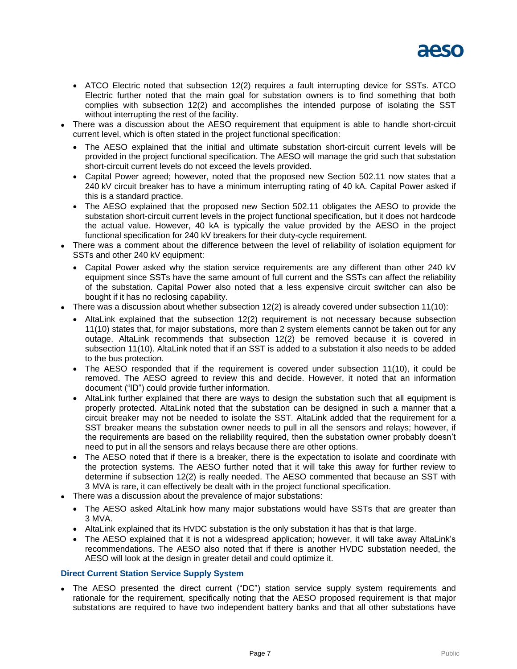

- ATCO Electric noted that subsection 12(2) requires a fault interrupting device for SSTs. ATCO Electric further noted that the main goal for substation owners is to find something that both complies with subsection 12(2) and accomplishes the intended purpose of isolating the SST without interrupting the rest of the facility.
- There was a discussion about the AESO requirement that equipment is able to handle short-circuit current level, which is often stated in the project functional specification:
	- The AESO explained that the initial and ultimate substation short-circuit current levels will be provided in the project functional specification. The AESO will manage the grid such that substation short-circuit current levels do not exceed the levels provided.
	- Capital Power agreed; however, noted that the proposed new Section 502.11 now states that a 240 kV circuit breaker has to have a minimum interrupting rating of 40 kA. Capital Power asked if this is a standard practice.
	- The AESO explained that the proposed new Section 502.11 obligates the AESO to provide the substation short-circuit current levels in the project functional specification, but it does not hardcode the actual value. However, 40 kA is typically the value provided by the AESO in the project functional specification for 240 kV breakers for their duty-cycle requirement.
- There was a comment about the difference between the level of reliability of isolation equipment for SSTs and other 240 kV equipment:
	- Capital Power asked why the station service requirements are any different than other 240 kV equipment since SSTs have the same amount of full current and the SSTs can affect the reliability of the substation. Capital Power also noted that a less expensive circuit switcher can also be bought if it has no reclosing capability.
- There was a discussion about whether subsection 12(2) is already covered under subsection 11(10):
	- AltaLink explained that the subsection 12(2) requirement is not necessary because subsection 11(10) states that, for major substations, more than 2 system elements cannot be taken out for any outage. AltaLink recommends that subsection 12(2) be removed because it is covered in subsection 11(10). AltaLink noted that if an SST is added to a substation it also needs to be added to the bus protection.
	- The AESO responded that if the requirement is covered under subsection 11(10), it could be removed. The AESO agreed to review this and decide. However, it noted that an information document ("ID") could provide further information.
	- AltaLink further explained that there are ways to design the substation such that all equipment is properly protected. AltaLink noted that the substation can be designed in such a manner that a circuit breaker may not be needed to isolate the SST. AltaLink added that the requirement for a SST breaker means the substation owner needs to pull in all the sensors and relays; however, if the requirements are based on the reliability required, then the substation owner probably doesn't need to put in all the sensors and relays because there are other options.
	- The AESO noted that if there is a breaker, there is the expectation to isolate and coordinate with the protection systems. The AESO further noted that it will take this away for further review to determine if subsection 12(2) is really needed. The AESO commented that because an SST with 3 MVA is rare, it can effectively be dealt with in the project functional specification.
- There was a discussion about the prevalence of major substations:
	- The AESO asked AltaLink how many major substations would have SSTs that are greater than 3 MVA.
	- AltaLink explained that its HVDC substation is the only substation it has that is that large.
	- The AESO explained that it is not a widespread application; however, it will take away AltaLink's recommendations. The AESO also noted that if there is another HVDC substation needed, the AESO will look at the design in greater detail and could optimize it.

### **Direct Current Station Service Supply System**

 The AESO presented the direct current ("DC") station service supply system requirements and rationale for the requirement, specifically noting that the AESO proposed requirement is that major substations are required to have two independent battery banks and that all other substations have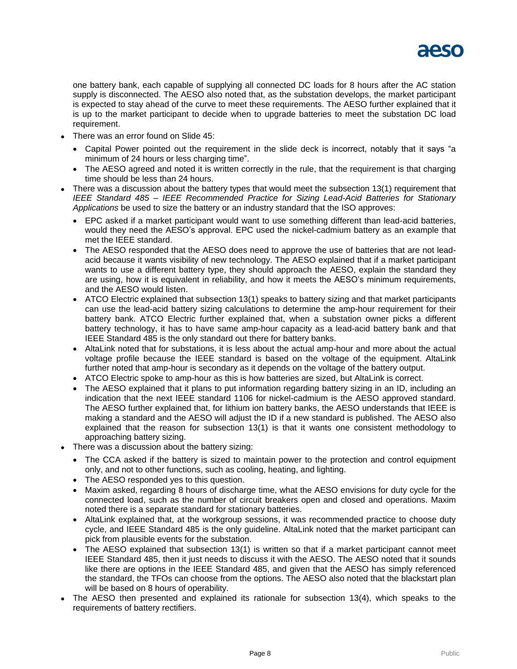

one battery bank, each capable of supplying all connected DC loads for 8 hours after the AC station supply is disconnected. The AESO also noted that, as the substation develops, the market participant is expected to stay ahead of the curve to meet these requirements. The AESO further explained that it is up to the market participant to decide when to upgrade batteries to meet the substation DC load requirement.

- There was an error found on Slide 45:
	- Capital Power pointed out the requirement in the slide deck is incorrect, notably that it says "a minimum of 24 hours or less charging time".
	- The AESO agreed and noted it is written correctly in the rule, that the requirement is that charging time should be less than 24 hours.
- There was a discussion about the battery types that would meet the subsection 13(1) requirement that *IEEE Standard 485 – IEEE Recommended Practice for Sizing Lead-Acid Batteries for Stationary Applications* be used to size the battery or an industry standard that the ISO approves:
	- EPC asked if a market participant would want to use something different than lead-acid batteries, would they need the AESO's approval. EPC used the nickel-cadmium battery as an example that met the IEEE standard.
	- The AESO responded that the AESO does need to approve the use of batteries that are not leadacid because it wants visibility of new technology. The AESO explained that if a market participant wants to use a different battery type, they should approach the AESO, explain the standard they are using, how it is equivalent in reliability, and how it meets the AESO's minimum requirements, and the AESO would listen.
	- ATCO Electric explained that subsection 13(1) speaks to battery sizing and that market participants can use the lead-acid battery sizing calculations to determine the amp-hour requirement for their battery bank. ATCO Electric further explained that, when a substation owner picks a different battery technology, it has to have same amp-hour capacity as a lead-acid battery bank and that IEEE Standard 485 is the only standard out there for battery banks.
	- AltaLink noted that for substations, it is less about the actual amp-hour and more about the actual voltage profile because the IEEE standard is based on the voltage of the equipment. AltaLink further noted that amp-hour is secondary as it depends on the voltage of the battery output.
	- ATCO Electric spoke to amp-hour as this is how batteries are sized, but AltaLink is correct.
	- The AESO explained that it plans to put information regarding battery sizing in an ID, including an indication that the next IEEE standard 1106 for nickel-cadmium is the AESO approved standard. The AESO further explained that, for lithium ion battery banks, the AESO understands that IEEE is making a standard and the AESO will adjust the ID if a new standard is published. The AESO also explained that the reason for subsection 13(1) is that it wants one consistent methodology to approaching battery sizing.
- There was a discussion about the battery sizing:
	- The CCA asked if the battery is sized to maintain power to the protection and control equipment only, and not to other functions, such as cooling, heating, and lighting.
	- The AESO responded yes to this question.
	- Maxim asked, regarding 8 hours of discharge time, what the AESO envisions for duty cycle for the connected load, such as the number of circuit breakers open and closed and operations. Maxim noted there is a separate standard for stationary batteries.
	- AltaLink explained that, at the workgroup sessions, it was recommended practice to choose duty cycle, and IEEE Standard 485 is the only guideline. AltaLink noted that the market participant can pick from plausible events for the substation.
	- The AESO explained that subsection 13(1) is written so that if a market participant cannot meet IEEE Standard 485, then it just needs to discuss it with the AESO. The AESO noted that it sounds like there are options in the IEEE Standard 485, and given that the AESO has simply referenced the standard, the TFOs can choose from the options. The AESO also noted that the blackstart plan will be based on 8 hours of operability.
- The AESO then presented and explained its rationale for subsection 13(4), which speaks to the requirements of battery rectifiers.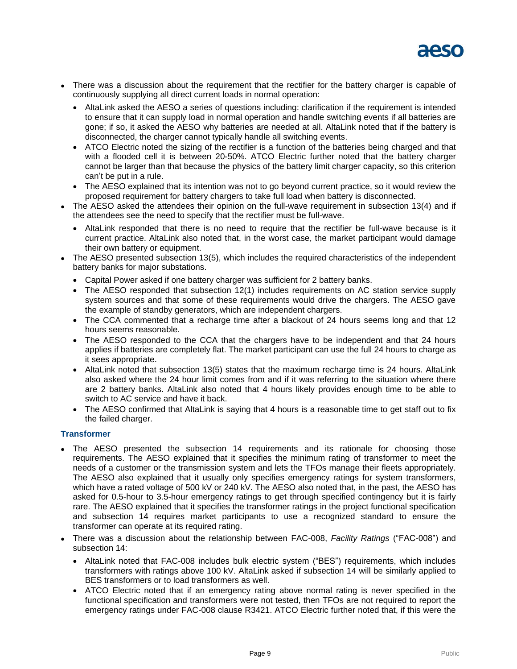

- There was a discussion about the requirement that the rectifier for the battery charger is capable of continuously supplying all direct current loads in normal operation:
	- AltaLink asked the AESO a series of questions including: clarification if the requirement is intended to ensure that it can supply load in normal operation and handle switching events if all batteries are gone; if so, it asked the AESO why batteries are needed at all. AltaLink noted that if the battery is disconnected, the charger cannot typically handle all switching events.
	- ATCO Electric noted the sizing of the rectifier is a function of the batteries being charged and that with a flooded cell it is between 20-50%. ATCO Electric further noted that the battery charger cannot be larger than that because the physics of the battery limit charger capacity, so this criterion can't be put in a rule.
	- The AESO explained that its intention was not to go beyond current practice, so it would review the proposed requirement for battery chargers to take full load when battery is disconnected.
- The AESO asked the attendees their opinion on the full-wave requirement in subsection 13(4) and if the attendees see the need to specify that the rectifier must be full-wave.
	- AltaLink responded that there is no need to require that the rectifier be full-wave because is it current practice. AltaLink also noted that, in the worst case, the market participant would damage their own battery or equipment.
- The AESO presented subsection 13(5), which includes the required characteristics of the independent battery banks for major substations.
	- Capital Power asked if one battery charger was sufficient for 2 battery banks.
	- The AESO responded that subsection 12(1) includes requirements on AC station service supply system sources and that some of these requirements would drive the chargers. The AESO gave the example of standby generators, which are independent chargers.
	- The CCA commented that a recharge time after a blackout of 24 hours seems long and that 12 hours seems reasonable.
	- The AESO responded to the CCA that the chargers have to be independent and that 24 hours applies if batteries are completely flat. The market participant can use the full 24 hours to charge as it sees appropriate.
	- AltaLink noted that subsection 13(5) states that the maximum recharge time is 24 hours. AltaLink also asked where the 24 hour limit comes from and if it was referring to the situation where there are 2 battery banks. AltaLink also noted that 4 hours likely provides enough time to be able to switch to AC service and have it back.
	- The AESO confirmed that AltaLink is saying that 4 hours is a reasonable time to get staff out to fix the failed charger.

### **Transformer**

- The AESO presented the subsection 14 requirements and its rationale for choosing those requirements. The AESO explained that it specifies the minimum rating of transformer to meet the needs of a customer or the transmission system and lets the TFOs manage their fleets appropriately. The AESO also explained that it usually only specifies emergency ratings for system transformers, which have a rated voltage of 500 kV or 240 kV. The AESO also noted that, in the past, the AESO has asked for 0.5-hour to 3.5-hour emergency ratings to get through specified contingency but it is fairly rare. The AESO explained that it specifies the transformer ratings in the project functional specification and subsection 14 requires market participants to use a recognized standard to ensure the transformer can operate at its required rating.
- There was a discussion about the relationship between FAC-008, *Facility Ratings* ("FAC-008") and subsection 14:
	- AltaLink noted that FAC-008 includes bulk electric system ("BES") requirements, which includes transformers with ratings above 100 kV. AltaLink asked if subsection 14 will be similarly applied to BES transformers or to load transformers as well.
	- ATCO Electric noted that if an emergency rating above normal rating is never specified in the functional specification and transformers were not tested, then TFOs are not required to report the emergency ratings under FAC-008 clause R3421. ATCO Electric further noted that, if this were the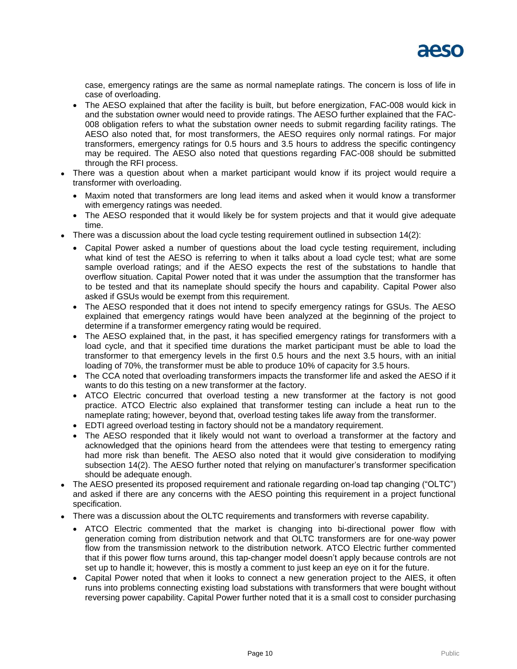

case, emergency ratings are the same as normal nameplate ratings. The concern is loss of life in case of overloading.

- The AESO explained that after the facility is built, but before energization, FAC-008 would kick in and the substation owner would need to provide ratings. The AESO further explained that the FAC-008 obligation refers to what the substation owner needs to submit regarding facility ratings. The AESO also noted that, for most transformers, the AESO requires only normal ratings. For major transformers, emergency ratings for 0.5 hours and 3.5 hours to address the specific contingency may be required. The AESO also noted that questions regarding FAC-008 should be submitted through the RFI process.
- There was a question about when a market participant would know if its project would require a transformer with overloading.
	- Maxim noted that transformers are long lead items and asked when it would know a transformer with emergency ratings was needed.
	- The AESO responded that it would likely be for system projects and that it would give adequate time.
- There was a discussion about the load cycle testing requirement outlined in subsection 14(2):
	- Capital Power asked a number of questions about the load cycle testing requirement, including what kind of test the AESO is referring to when it talks about a load cycle test; what are some sample overload ratings; and if the AESO expects the rest of the substations to handle that overflow situation. Capital Power noted that it was under the assumption that the transformer has to be tested and that its nameplate should specify the hours and capability. Capital Power also asked if GSUs would be exempt from this requirement.
	- The AESO responded that it does not intend to specify emergency ratings for GSUs. The AESO explained that emergency ratings would have been analyzed at the beginning of the project to determine if a transformer emergency rating would be required.
	- The AESO explained that, in the past, it has specified emergency ratings for transformers with a load cycle, and that it specified time durations the market participant must be able to load the transformer to that emergency levels in the first 0.5 hours and the next 3.5 hours, with an initial loading of 70%, the transformer must be able to produce 10% of capacity for 3.5 hours.
	- The CCA noted that overloading transformers impacts the transformer life and asked the AESO if it wants to do this testing on a new transformer at the factory.
	- ATCO Electric concurred that overload testing a new transformer at the factory is not good practice. ATCO Electric also explained that transformer testing can include a heat run to the nameplate rating; however, beyond that, overload testing takes life away from the transformer.
	- EDTI agreed overload testing in factory should not be a mandatory requirement.
	- The AESO responded that it likely would not want to overload a transformer at the factory and acknowledged that the opinions heard from the attendees were that testing to emergency rating had more risk than benefit. The AESO also noted that it would give consideration to modifying subsection 14(2). The AESO further noted that relying on manufacturer's transformer specification should be adequate enough.
- The AESO presented its proposed requirement and rationale regarding on-load tap changing ("OLTC") and asked if there are any concerns with the AESO pointing this requirement in a project functional specification.
- There was a discussion about the OLTC requirements and transformers with reverse capability.
	- ATCO Electric commented that the market is changing into bi-directional power flow with generation coming from distribution network and that OLTC transformers are for one-way power flow from the transmission network to the distribution network. ATCO Electric further commented that if this power flow turns around, this tap-changer model doesn't apply because controls are not set up to handle it; however, this is mostly a comment to just keep an eye on it for the future.
	- Capital Power noted that when it looks to connect a new generation project to the AIES, it often runs into problems connecting existing load substations with transformers that were bought without reversing power capability. Capital Power further noted that it is a small cost to consider purchasing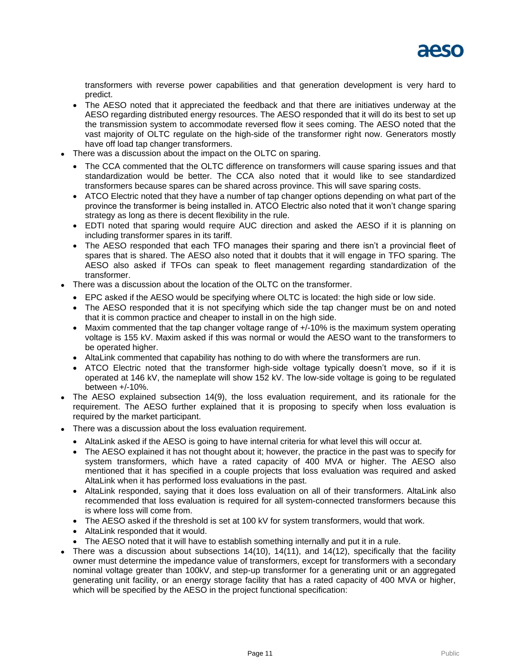

transformers with reverse power capabilities and that generation development is very hard to predict.

- The AESO noted that it appreciated the feedback and that there are initiatives underway at the AESO regarding distributed energy resources. The AESO responded that it will do its best to set up the transmission system to accommodate reversed flow it sees coming. The AESO noted that the vast majority of OLTC regulate on the high-side of the transformer right now. Generators mostly have off load tap changer transformers.
- There was a discussion about the impact on the OLTC on sparing.
	- The CCA commented that the OLTC difference on transformers will cause sparing issues and that standardization would be better. The CCA also noted that it would like to see standardized transformers because spares can be shared across province. This will save sparing costs.
	- ATCO Electric noted that they have a number of tap changer options depending on what part of the province the transformer is being installed in. ATCO Electric also noted that it won't change sparing strategy as long as there is decent flexibility in the rule.
	- EDTI noted that sparing would require AUC direction and asked the AESO if it is planning on including transformer spares in its tariff.
	- The AESO responded that each TFO manages their sparing and there isn't a provincial fleet of spares that is shared. The AESO also noted that it doubts that it will engage in TFO sparing. The AESO also asked if TFOs can speak to fleet management regarding standardization of the transformer.
- There was a discussion about the location of the OLTC on the transformer.
	- EPC asked if the AESO would be specifying where OLTC is located: the high side or low side.
	- The AESO responded that it is not specifying which side the tap changer must be on and noted that it is common practice and cheaper to install in on the high side.
	- $\bullet$  Maxim commented that the tap changer voltage range of  $+/10\%$  is the maximum system operating voltage is 155 kV. Maxim asked if this was normal or would the AESO want to the transformers to be operated higher.
	- AltaLink commented that capability has nothing to do with where the transformers are run.
	- ATCO Electric noted that the transformer high-side voltage typically doesn't move, so if it is operated at 146 kV, the nameplate will show 152 kV. The low-side voltage is going to be regulated between +/-10%.
- The AESO explained subsection 14(9), the loss evaluation requirement, and its rationale for the requirement. The AESO further explained that it is proposing to specify when loss evaluation is required by the market participant.
- There was a discussion about the loss evaluation requirement.
	- AltaLink asked if the AESO is going to have internal criteria for what level this will occur at.
	- The AESO explained it has not thought about it; however, the practice in the past was to specify for system transformers, which have a rated capacity of 400 MVA or higher. The AESO also mentioned that it has specified in a couple projects that loss evaluation was required and asked AltaLink when it has performed loss evaluations in the past.
	- AltaLink responded, saying that it does loss evaluation on all of their transformers. AltaLink also recommended that loss evaluation is required for all system-connected transformers because this is where loss will come from.
	- The AESO asked if the threshold is set at 100 kV for system transformers, would that work.
	- AltaLink responded that it would.
	- The AESO noted that it will have to establish something internally and put it in a rule.
- There was a discussion about subsections 14(10), 14(11), and 14(12), specifically that the facility owner must determine the impedance value of transformers, except for transformers with a secondary nominal voltage greater than 100kV, and step-up transformer for a generating unit or an aggregated generating unit facility, or an energy storage facility that has a rated capacity of 400 MVA or higher, which will be specified by the AESO in the project functional specification: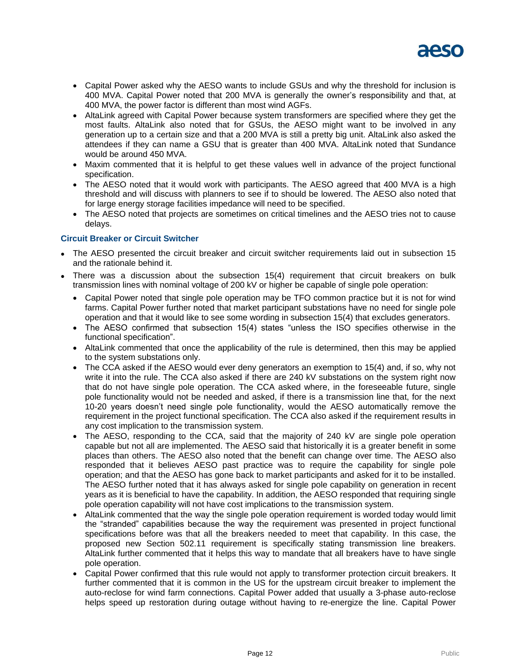

- Capital Power asked why the AESO wants to include GSUs and why the threshold for inclusion is 400 MVA. Capital Power noted that 200 MVA is generally the owner's responsibility and that, at 400 MVA, the power factor is different than most wind AGFs.
- AltaLink agreed with Capital Power because system transformers are specified where they get the most faults. AltaLink also noted that for GSUs, the AESO might want to be involved in any generation up to a certain size and that a 200 MVA is still a pretty big unit. AltaLink also asked the attendees if they can name a GSU that is greater than 400 MVA. AltaLink noted that Sundance would be around 450 MVA.
- Maxim commented that it is helpful to get these values well in advance of the project functional specification.
- The AESO noted that it would work with participants. The AESO agreed that 400 MVA is a high threshold and will discuss with planners to see if to should be lowered. The AESO also noted that for large energy storage facilities impedance will need to be specified.
- The AESO noted that projects are sometimes on critical timelines and the AESO tries not to cause delays.

### **Circuit Breaker or Circuit Switcher**

- The AESO presented the circuit breaker and circuit switcher requirements laid out in subsection 15 and the rationale behind it.
- There was a discussion about the subsection 15(4) requirement that circuit breakers on bulk transmission lines with nominal voltage of 200 kV or higher be capable of single pole operation:
	- Capital Power noted that single pole operation may be TFO common practice but it is not for wind farms. Capital Power further noted that market participant substations have no need for single pole operation and that it would like to see some wording in subsection 15(4) that excludes generators.
	- The AESO confirmed that subsection 15(4) states "unless the ISO specifies otherwise in the functional specification".
	- AltaLink commented that once the applicability of the rule is determined, then this may be applied to the system substations only.
	- The CCA asked if the AESO would ever deny generators an exemption to 15(4) and, if so, why not write it into the rule. The CCA also asked if there are 240 kV substations on the system right now that do not have single pole operation. The CCA asked where, in the foreseeable future, single pole functionality would not be needed and asked, if there is a transmission line that, for the next 10-20 years doesn't need single pole functionality, would the AESO automatically remove the requirement in the project functional specification. The CCA also asked if the requirement results in any cost implication to the transmission system.
	- The AESO, responding to the CCA, said that the majority of 240 kV are single pole operation capable but not all are implemented. The AESO said that historically it is a greater benefit in some places than others. The AESO also noted that the benefit can change over time. The AESO also responded that it believes AESO past practice was to require the capability for single pole operation; and that the AESO has gone back to market participants and asked for it to be installed. The AESO further noted that it has always asked for single pole capability on generation in recent years as it is beneficial to have the capability. In addition, the AESO responded that requiring single pole operation capability will not have cost implications to the transmission system.
	- AltaLink commented that the way the single pole operation requirement is worded today would limit the "stranded" capabilities because the way the requirement was presented in project functional specifications before was that all the breakers needed to meet that capability. In this case, the proposed new Section 502.11 requirement is specifically stating transmission line breakers. AltaLink further commented that it helps this way to mandate that all breakers have to have single pole operation.
	- Capital Power confirmed that this rule would not apply to transformer protection circuit breakers. It further commented that it is common in the US for the upstream circuit breaker to implement the auto-reclose for wind farm connections. Capital Power added that usually a 3-phase auto-reclose helps speed up restoration during outage without having to re-energize the line. Capital Power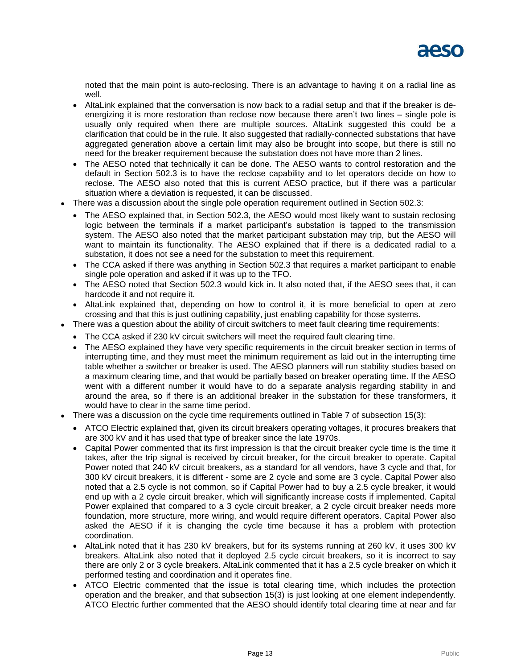noted that the main point is auto-reclosing. There is an advantage to having it on a radial line as well.

- AltaLink explained that the conversation is now back to a radial setup and that if the breaker is deenergizing it is more restoration than reclose now because there aren't two lines – single pole is usually only required when there are multiple sources. AltaLink suggested this could be a clarification that could be in the rule. It also suggested that radially-connected substations that have aggregated generation above a certain limit may also be brought into scope, but there is still no need for the breaker requirement because the substation does not have more than 2 lines.
- The AESO noted that technically it can be done. The AESO wants to control restoration and the default in Section 502.3 is to have the reclose capability and to let operators decide on how to reclose. The AESO also noted that this is current AESO practice, but if there was a particular situation where a deviation is requested, it can be discussed.
- There was a discussion about the single pole operation requirement outlined in Section 502.3:
	- The AESO explained that, in Section 502.3, the AESO would most likely want to sustain reclosing logic between the terminals if a market participant's substation is tapped to the transmission system. The AESO also noted that the market participant substation may trip, but the AESO will want to maintain its functionality. The AESO explained that if there is a dedicated radial to a substation, it does not see a need for the substation to meet this requirement.
	- The CCA asked if there was anything in Section 502.3 that requires a market participant to enable single pole operation and asked if it was up to the TFO.
	- The AESO noted that Section 502.3 would kick in. It also noted that, if the AESO sees that, it can hardcode it and not require it.
	- AltaLink explained that, depending on how to control it, it is more beneficial to open at zero crossing and that this is just outlining capability, just enabling capability for those systems.
- There was a question about the ability of circuit switchers to meet fault clearing time requirements:
	- The CCA asked if 230 kV circuit switchers will meet the required fault clearing time.
	- The AESO explained they have very specific requirements in the circuit breaker section in terms of interrupting time, and they must meet the minimum requirement as laid out in the interrupting time table whether a switcher or breaker is used. The AESO planners will run stability studies based on a maximum clearing time, and that would be partially based on breaker operating time. If the AESO went with a different number it would have to do a separate analysis regarding stability in and around the area, so if there is an additional breaker in the substation for these transformers, it would have to clear in the same time period.
- There was a discussion on the cycle time requirements outlined in Table 7 of subsection 15(3):
	- ATCO Electric explained that, given its circuit breakers operating voltages, it procures breakers that are 300 kV and it has used that type of breaker since the late 1970s.
	- Capital Power commented that its first impression is that the circuit breaker cycle time is the time it takes, after the trip signal is received by circuit breaker, for the circuit breaker to operate. Capital Power noted that 240 kV circuit breakers, as a standard for all vendors, have 3 cycle and that, for 300 kV circuit breakers, it is different - some are 2 cycle and some are 3 cycle. Capital Power also noted that a 2.5 cycle is not common, so if Capital Power had to buy a 2.5 cycle breaker, it would end up with a 2 cycle circuit breaker, which will significantly increase costs if implemented. Capital Power explained that compared to a 3 cycle circuit breaker, a 2 cycle circuit breaker needs more foundation, more structure, more wiring, and would require different operators. Capital Power also asked the AESO if it is changing the cycle time because it has a problem with protection coordination.
	- AltaLink noted that it has 230 kV breakers, but for its systems running at 260 kV, it uses 300 kV breakers. AltaLink also noted that it deployed 2.5 cycle circuit breakers, so it is incorrect to say there are only 2 or 3 cycle breakers. AltaLink commented that it has a 2.5 cycle breaker on which it performed testing and coordination and it operates fine.
	- ATCO Electric commented that the issue is total clearing time, which includes the protection operation and the breaker, and that subsection 15(3) is just looking at one element independently. ATCO Electric further commented that the AESO should identify total clearing time at near and far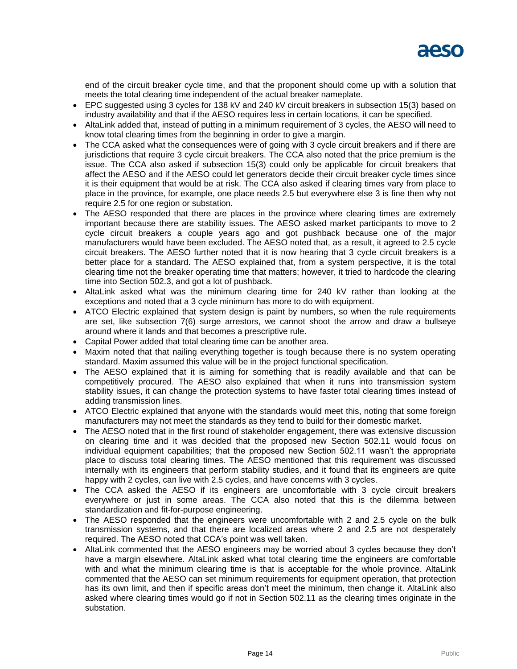end of the circuit breaker cycle time, and that the proponent should come up with a solution that meets the total clearing time independent of the actual breaker nameplate.

- EPC suggested using 3 cycles for 138 kV and 240 kV circuit breakers in subsection 15(3) based on industry availability and that if the AESO requires less in certain locations, it can be specified.
- AltaLink added that, instead of putting in a minimum requirement of 3 cycles, the AESO will need to know total clearing times from the beginning in order to give a margin.
- The CCA asked what the consequences were of going with 3 cycle circuit breakers and if there are jurisdictions that require 3 cycle circuit breakers. The CCA also noted that the price premium is the issue. The CCA also asked if subsection 15(3) could only be applicable for circuit breakers that affect the AESO and if the AESO could let generators decide their circuit breaker cycle times since it is their equipment that would be at risk. The CCA also asked if clearing times vary from place to place in the province, for example, one place needs 2.5 but everywhere else 3 is fine then why not require 2.5 for one region or substation.
- The AESO responded that there are places in the province where clearing times are extremely important because there are stability issues. The AESO asked market participants to move to 2 cycle circuit breakers a couple years ago and got pushback because one of the major manufacturers would have been excluded. The AESO noted that, as a result, it agreed to 2.5 cycle circuit breakers. The AESO further noted that it is now hearing that 3 cycle circuit breakers is a better place for a standard. The AESO explained that, from a system perspective, it is the total clearing time not the breaker operating time that matters; however, it tried to hardcode the clearing time into Section 502.3, and got a lot of pushback.
- AltaLink asked what was the minimum clearing time for 240 kV rather than looking at the exceptions and noted that a 3 cycle minimum has more to do with equipment.
- ATCO Electric explained that system design is paint by numbers, so when the rule requirements are set, like subsection 7(6) surge arrestors, we cannot shoot the arrow and draw a bullseye around where it lands and that becomes a prescriptive rule.
- Capital Power added that total clearing time can be another area.
- Maxim noted that that nailing everything together is tough because there is no system operating standard. Maxim assumed this value will be in the project functional specification.
- The AESO explained that it is aiming for something that is readily available and that can be competitively procured. The AESO also explained that when it runs into transmission system stability issues, it can change the protection systems to have faster total clearing times instead of adding transmission lines.
- ATCO Electric explained that anyone with the standards would meet this, noting that some foreign manufacturers may not meet the standards as they tend to build for their domestic market.
- The AESO noted that in the first round of stakeholder engagement, there was extensive discussion on clearing time and it was decided that the proposed new Section 502.11 would focus on individual equipment capabilities; that the proposed new Section 502.11 wasn't the appropriate place to discuss total clearing times. The AESO mentioned that this requirement was discussed internally with its engineers that perform stability studies, and it found that its engineers are quite happy with 2 cycles, can live with 2.5 cycles, and have concerns with 3 cycles.
- The CCA asked the AESO if its engineers are uncomfortable with 3 cycle circuit breakers everywhere or just in some areas. The CCA also noted that this is the dilemma between standardization and fit-for-purpose engineering.
- The AESO responded that the engineers were uncomfortable with 2 and 2.5 cycle on the bulk transmission systems, and that there are localized areas where 2 and 2.5 are not desperately required. The AESO noted that CCA's point was well taken.
- AltaLink commented that the AESO engineers may be worried about 3 cycles because they don't have a margin elsewhere. AltaLink asked what total clearing time the engineers are comfortable with and what the minimum clearing time is that is acceptable for the whole province. AltaLink commented that the AESO can set minimum requirements for equipment operation, that protection has its own limit, and then if specific areas don't meet the minimum, then change it. AltaLink also asked where clearing times would go if not in Section 502.11 as the clearing times originate in the substation.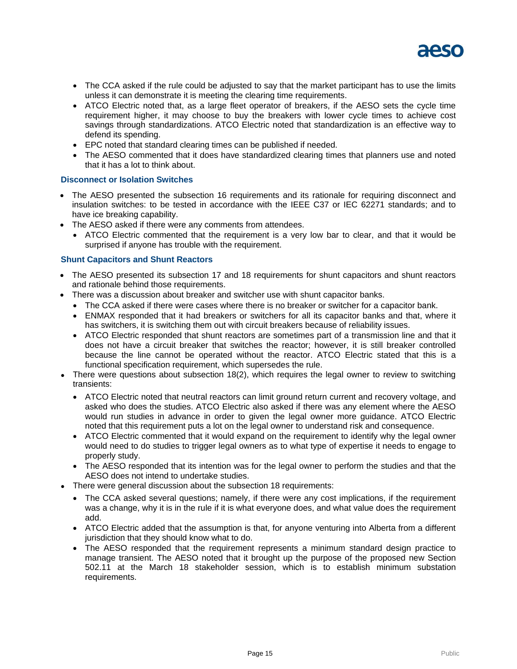

- The CCA asked if the rule could be adjusted to say that the market participant has to use the limits unless it can demonstrate it is meeting the clearing time requirements.
- ATCO Electric noted that, as a large fleet operator of breakers, if the AESO sets the cycle time requirement higher, it may choose to buy the breakers with lower cycle times to achieve cost savings through standardizations. ATCO Electric noted that standardization is an effective way to defend its spending.
- EPC noted that standard clearing times can be published if needed.
- The AESO commented that it does have standardized clearing times that planners use and noted that it has a lot to think about.

#### **Disconnect or Isolation Switches**

- The AESO presented the subsection 16 requirements and its rationale for requiring disconnect and insulation switches: to be tested in accordance with the IEEE C37 or IEC 62271 standards; and to have ice breaking capability.
- The AESO asked if there were any comments from attendees.
	- ATCO Electric commented that the requirement is a very low bar to clear, and that it would be surprised if anyone has trouble with the requirement.

#### **Shunt Capacitors and Shunt Reactors**

- The AESO presented its subsection 17 and 18 requirements for shunt capacitors and shunt reactors and rationale behind those requirements.
- There was a discussion about breaker and switcher use with shunt capacitor banks.
	- The CCA asked if there were cases where there is no breaker or switcher for a capacitor bank.
	- ENMAX responded that it had breakers or switchers for all its capacitor banks and that, where it has switchers, it is switching them out with circuit breakers because of reliability issues.
	- ATCO Electric responded that shunt reactors are sometimes part of a transmission line and that it does not have a circuit breaker that switches the reactor; however, it is still breaker controlled because the line cannot be operated without the reactor. ATCO Electric stated that this is a functional specification requirement, which supersedes the rule.
- There were questions about subsection 18(2), which requires the legal owner to review to switching transients:
	- ATCO Electric noted that neutral reactors can limit ground return current and recovery voltage, and asked who does the studies. ATCO Electric also asked if there was any element where the AESO would run studies in advance in order to given the legal owner more guidance. ATCO Electric noted that this requirement puts a lot on the legal owner to understand risk and consequence.
	- ATCO Electric commented that it would expand on the requirement to identify why the legal owner would need to do studies to trigger legal owners as to what type of expertise it needs to engage to properly study.
	- The AESO responded that its intention was for the legal owner to perform the studies and that the AESO does not intend to undertake studies.
	- There were general discussion about the subsection 18 requirements:
		- The CCA asked several questions; namely, if there were any cost implications, if the requirement was a change, why it is in the rule if it is what everyone does, and what value does the requirement add.
		- ATCO Electric added that the assumption is that, for anyone venturing into Alberta from a different jurisdiction that they should know what to do.
		- The AESO responded that the requirement represents a minimum standard design practice to manage transient. The AESO noted that it brought up the purpose of the proposed new Section 502.11 at the March 18 stakeholder session, which is to establish minimum substation requirements.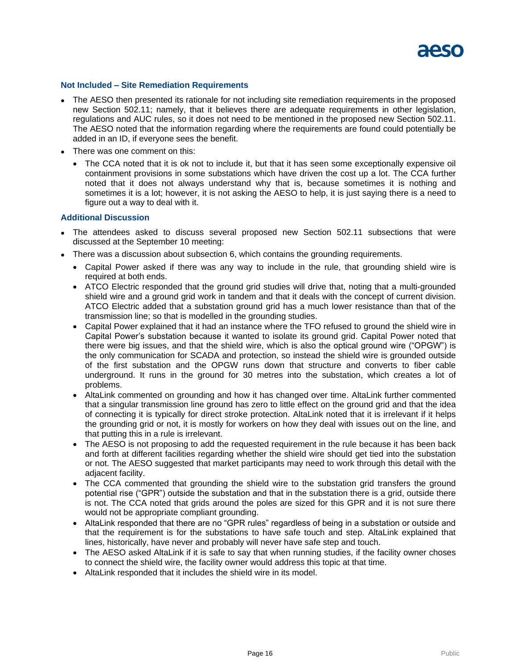

#### **Not Included – Site Remediation Requirements**

- The AESO then presented its rationale for not including site remediation requirements in the proposed new Section 502.11; namely, that it believes there are adequate requirements in other legislation, regulations and AUC rules, so it does not need to be mentioned in the proposed new Section 502.11. The AESO noted that the information regarding where the requirements are found could potentially be added in an ID, if everyone sees the benefit.
- There was one comment on this:
	- The CCA noted that it is ok not to include it, but that it has seen some exceptionally expensive oil containment provisions in some substations which have driven the cost up a lot. The CCA further noted that it does not always understand why that is, because sometimes it is nothing and sometimes it is a lot; however, it is not asking the AESO to help, it is just saying there is a need to figure out a way to deal with it.

#### **Additional Discussion**

- The attendees asked to discuss several proposed new Section 502.11 subsections that were discussed at the September 10 meeting:
- There was a discussion about subsection 6, which contains the grounding requirements.
	- Capital Power asked if there was any way to include in the rule, that grounding shield wire is required at both ends.
	- ATCO Electric responded that the ground grid studies will drive that, noting that a multi-grounded shield wire and a ground grid work in tandem and that it deals with the concept of current division. ATCO Electric added that a substation ground grid has a much lower resistance than that of the transmission line; so that is modelled in the grounding studies.
	- Capital Power explained that it had an instance where the TFO refused to ground the shield wire in Capital Power's substation because it wanted to isolate its ground grid. Capital Power noted that there were big issues, and that the shield wire, which is also the optical ground wire ("OPGW") is the only communication for SCADA and protection, so instead the shield wire is grounded outside of the first substation and the OPGW runs down that structure and converts to fiber cable underground. It runs in the ground for 30 metres into the substation, which creates a lot of problems.
	- AltaLink commented on grounding and how it has changed over time. AltaLink further commented that a singular transmission line ground has zero to little effect on the ground grid and that the idea of connecting it is typically for direct stroke protection. AltaLink noted that it is irrelevant if it helps the grounding grid or not, it is mostly for workers on how they deal with issues out on the line, and that putting this in a rule is irrelevant.
	- The AESO is not proposing to add the requested requirement in the rule because it has been back and forth at different facilities regarding whether the shield wire should get tied into the substation or not. The AESO suggested that market participants may need to work through this detail with the adjacent facility.
	- The CCA commented that grounding the shield wire to the substation grid transfers the ground potential rise ("GPR") outside the substation and that in the substation there is a grid, outside there is not. The CCA noted that grids around the poles are sized for this GPR and it is not sure there would not be appropriate compliant grounding.
	- AltaLink responded that there are no "GPR rules" regardless of being in a substation or outside and that the requirement is for the substations to have safe touch and step. AltaLink explained that lines, historically, have never and probably will never have safe step and touch.
	- The AESO asked AltaLink if it is safe to say that when running studies, if the facility owner choses to connect the shield wire, the facility owner would address this topic at that time.
	- AltaLink responded that it includes the shield wire in its model.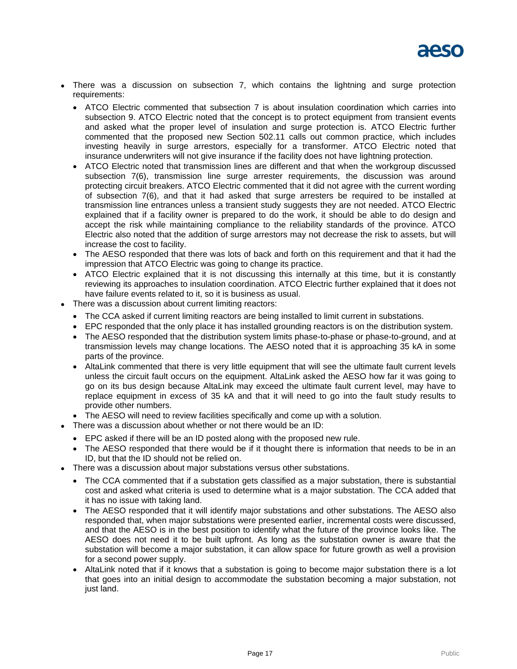- There was a discussion on subsection 7, which contains the lightning and surge protection requirements:
	- ATCO Electric commented that subsection 7 is about insulation coordination which carries into subsection 9. ATCO Electric noted that the concept is to protect equipment from transient events and asked what the proper level of insulation and surge protection is. ATCO Electric further commented that the proposed new Section 502.11 calls out common practice, which includes investing heavily in surge arrestors, especially for a transformer. ATCO Electric noted that insurance underwriters will not give insurance if the facility does not have lightning protection.
	- ATCO Electric noted that transmission lines are different and that when the workgroup discussed subsection 7(6), transmission line surge arrester requirements, the discussion was around protecting circuit breakers. ATCO Electric commented that it did not agree with the current wording of subsection 7(6), and that it had asked that surge arresters be required to be installed at transmission line entrances unless a transient study suggests they are not needed. ATCO Electric explained that if a facility owner is prepared to do the work, it should be able to do design and accept the risk while maintaining compliance to the reliability standards of the province. ATCO Electric also noted that the addition of surge arrestors may not decrease the risk to assets, but will increase the cost to facility.
	- The AESO responded that there was lots of back and forth on this requirement and that it had the impression that ATCO Electric was going to change its practice.
	- ATCO Electric explained that it is not discussing this internally at this time, but it is constantly reviewing its approaches to insulation coordination. ATCO Electric further explained that it does not have failure events related to it, so it is business as usual.
- There was a discussion about current limiting reactors:
	- The CCA asked if current limiting reactors are being installed to limit current in substations.
	- EPC responded that the only place it has installed grounding reactors is on the distribution system.
	- The AESO responded that the distribution system limits phase-to-phase or phase-to-ground, and at transmission levels may change locations. The AESO noted that it is approaching 35 kA in some parts of the province.
	- AltaLink commented that there is very little equipment that will see the ultimate fault current levels unless the circuit fault occurs on the equipment. AltaLink asked the AESO how far it was going to go on its bus design because AltaLink may exceed the ultimate fault current level, may have to replace equipment in excess of 35 kA and that it will need to go into the fault study results to provide other numbers.
	- The AESO will need to review facilities specifically and come up with a solution.
- There was a discussion about whether or not there would be an ID:
	- EPC asked if there will be an ID posted along with the proposed new rule.
	- The AESO responded that there would be if it thought there is information that needs to be in an ID, but that the ID should not be relied on.
- There was a discussion about major substations versus other substations.
	- The CCA commented that if a substation gets classified as a major substation, there is substantial cost and asked what criteria is used to determine what is a major substation. The CCA added that it has no issue with taking land.
	- The AESO responded that it will identify major substations and other substations. The AESO also responded that, when major substations were presented earlier, incremental costs were discussed, and that the AESO is in the best position to identify what the future of the province looks like. The AESO does not need it to be built upfront. As long as the substation owner is aware that the substation will become a major substation, it can allow space for future growth as well a provision for a second power supply.
	- AltaLink noted that if it knows that a substation is going to become major substation there is a lot that goes into an initial design to accommodate the substation becoming a major substation, not just land.